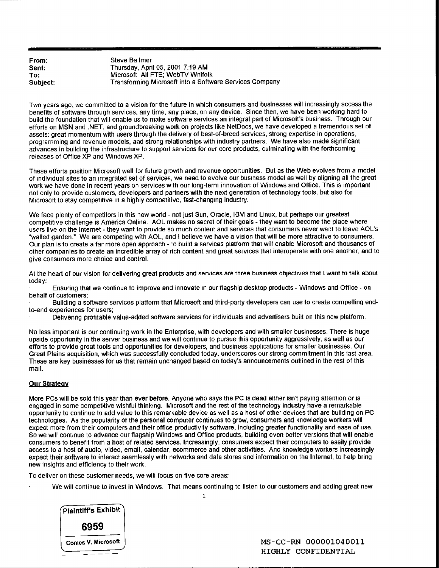| From:    |
|----------|
| Sent:    |
| To:      |
| Subject: |

**Steve Ballmer** Thursday, April 05, 2001 7:19 AM Microsoft: All FTE; WebTV Wnifolk **Subject:** Transforming Microsoft into a Software Services Company

Two years ago, we committed to a vision for the future in which consumers and businesses will increasingly access the benefits of software through services, any time, any place, on any device. Since then, we have been working hard to build the foundation that will enable us to make software services an integral part of Microsoft's business. Through our efforts on MSN and .NET, and groundbreaking work on projects like NetDocs, we have developed a tremendous set of assets: great momentum with users through the delivery of best-of-breed services, strong expertise in operations, programming and revenue models, and strong relationships with industry partners. We have also made significant advances in building the infrastructure 1o support services for our core products, culminating with lhe forthcoming releases of Office XP and Windows XP.

These efforts position Microsoft well for future growth and revenue opportunities. But as the Web evolves from a model of individual sites to an integrated set of services, we need to evolve our business model as well by aligning all the great work we have done in recent years on services with our long-term innovation of Windows and Office. This is important not only to provide customers, developers and partners with the next generation of technology tools, but also for Microsoft to stay competitive in a highly competitive, fast-changing industry.

We face plenty of competitors in this new world - not just Sun, Oracle, IBM and Linux, but perhaps our greatest competitive challenge is America Online. AOL makes no secret of their goals - they want to become the place where users live on the Internet - they want to provide so much content and services that consumers never want to leave AOL's "walled garden." We are competing with AOL, and I believe we have a vision that will be more attractive to consumers. Our plan is to create a far more open approach - to build a services platform that will enable Microsoft and thousands of other companies to create an incredible array of rich content and great services that interoperate with one another, and to give consumers more choice and control.

At the heart of our vision for delivering great products and services are three business objectives that I want to talk about today:

Ensuring that we continue to improve and innovate in our flagship desktop products - Windows and Office - on behalf of customers;

Building a software services platform that Microsoft and third-party developers can use to create compelling endto-end experiences for users;

Delivering profitable value-added software services for individuals and advertisers built on this new platform.

No less important is our continuing work in the Enterprise, with developers and with smaller businesses. There is huge upside opportunity in the server business and we will continue to pursue this opportunity aggressively, as well as our efforts to provide great tools and opportunilies for developers, and business applications for smaller businesses. Our Great Plains acquisition, which was successfully concluded today, underscores our strong commitment in this last area. These are key businesses for us that remain unchanged based on today's announcements oultined in the rest of this mail.

## Our Strategy

More PCs will be sold this year than ever before. Anyone who says the PC is dead either isn't paying attention or is engaged in some competitive wishful thinking. Microsoft and the rest of the technology industry have a remarkable opportunity to continue to add value to this remarkable device as well as a host of other devices that are building on PC technologies. As the popularity of the personal computer continues to grow, consumers and knowledge workers will expect more from their computers and their office productivity software, including greater functionality and ease of use. So we will continue to advance our flagship Windows and Office products, building even better versions that will enable consumers to benefit from a host of related services. Increasingly, consumers expect their computers 1o easily provide access to a host of audio, video, email, calendar, ecommerce and other activities. And knowledge workers increasingly expect their software to interact seamlessly with networks and data stores and information on the Internet, to help bring new insights and efficiency to their work.

To deliver on these customer needs, we will focus on five core areas:

We will continue to invest in Windows. That means continuing to listen to our customers and adding great new  $\mathbf{1}$ 



**Comes V. Microsoft J included a set of the MS-CC-RN 000001040011 HIGHLY CONFIDENTIAL**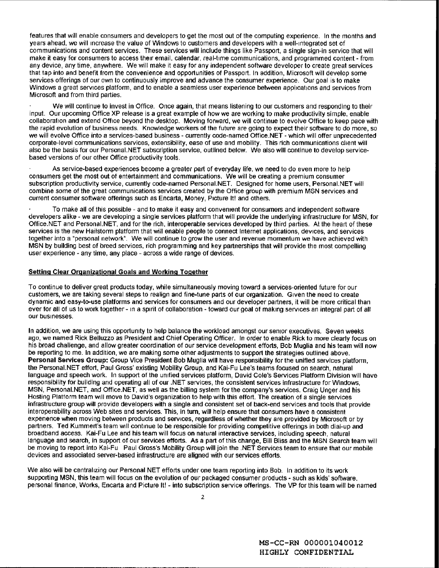features that will enable consumers and developers to get the most out of the computing experience. In the months and years ahead, we will increase the value of Windows to customers and developers with a well-integrated set of communications and content services. These services will include things like Passport, a single sign-in service that will make it easy for consumers to access their email, calendar, real-time communications, and programmed content - from any device, any time, anywhere. We will make it easy for any independent software developer to create great services that tap into and benefit from the convenience and opportunities of Passport. In addition, Microsoft will develop some services offerings of our own to continuously improve and advance the consumer experience. Our goal is to make Windows a great services platform, and to enable a seamless user experience between applications and services from Microsoft and from third parties.

We will continue to invest in Office. Once again, that means listening to our customers and responding to their input. Our upcoming Office XP release is a great example of how we are working to make productivity simple, enable collaboration and extend Office beyond the desktop. Moving forward, we will continue to evolve Office to keep pace with the rapid evolution of business needs. Knowledge workers of the future are going to expect their software to do more, so we will evolve Office into a services-based business - currently code-named Office.NET - which will offer unprecedented corporate-level communications services, extensibility, ease of use and mobility. This rich communications client will also be the basis for our Personal.NET subscription servtce, outlined below. We also will conlinue to develop servicebased versions of our other Office productivity tools.

As service-based experiences become a greater part of everyday life, we need to do even more to help consumers get the most out of entertainment and communications. We will be creating a premium consumer subscription productivity service, currently code-named Personal.NET. Designed for home users, Personal.NET will combine some of the great communications services created by the Office group with premium MSN services and current consumer software offerings such as Encarta, Money, Picture It! and others.

To make all of this possible - and to make it easy and convenient for consumers and independent software developers alike - we are developing a single services platform that will provide the underlying infrastructure for MSN, for Office.NET and Personal.NET, and for the rich, interoperable services developed by third parties. At the heart of these services is the new Hailstorm platform that will enable people to connect Internet applications, devices, and services together into a "personal network". We will continue to grow lhe user and revenue momenlum we have achieved with MSN by building best of breed services, rich programming and key partnerships that will provide the most compelling user experience - any time, any place - across a wide range of devices.

## **Setting Clear Organizational Goals and Working Together**

To continue to deliver great products today, while simultaneously moving toward a services-oriented future for our customers, we are taking several steps to realign and fine-tune parts of our organization. Given the need to create dynamic and easy-to-use platforms and services for consumers and our developer partners, it will be more critical than ever for all of us to work together - in a spirit of collaboration - toward our goal of making services an integral part of all our businesses.

In addition, we are using this opportunity to help balance the workload amongst our semor executives. Seven weeks ago, we named Rick Belluzzo as President and Chief Operating Officer. In order to enable Rick to more clearly focus on his broad challenge, and allow greater coordination of our service development efforts, Bob Muglia and his team will now be reporting to me. In addition, we are making some other adjustments to support the strategies outlined above. **Personal Services Group:** Group Vice President Bob Muglia will have responsibility for the unified services platform, the Personal.NET effod, Paul Gross' existing Mobility Group, and Kai-Fu Lee's teams focused on search, natural language and speech work. In support of the umfied services platform, David Cole's Services Platform Division will have responsibility for building and operating all of our .NET services, the consistent services infrastructure for Windows, MSN, Personal.NET, and Office.NET, as well as the billing system for the company's services. Craig Unger and his Hosting Platform team will move to David's organization to help with this effort. The creation of a single services infrastructure group will provide developers with a single and consistent set of back-end services and tools lhat provide interoperability across Web sites and services. This, in turn, will help ensure that consumers have a consistent experience when moving between products and services, regardless of whether they are provided by Microsoft or by partners. Ted Kummert's team will continue to be responsible for providing competitive offerings in both dial-up and broadband access. Kai-Fu Lee and his team will focus on natural interactive services, including speech, natural language and search, in support of our services efforts. As a part of this change, Bill Bliss and the MSN Search team will be moving to report into Kai-Fu Paul Gross's Mobility Group will join the .NET Services team to ensure that our mobile devices and associated server-based infrastructure are aligned with our services efforts.

We also will be centralizing our Personal NET efforts under one team reporting into Bob. In addition to its work supporting MSN, this team will focus on the evolution of our packaged consumer products - such as kids' software, personal finance, Works, Encarta and Picture It! - into subscription service offerings. The VP for this team will be named

**MS-CC-RN 000001040012 HIGHLY CONFIDENTIAL**